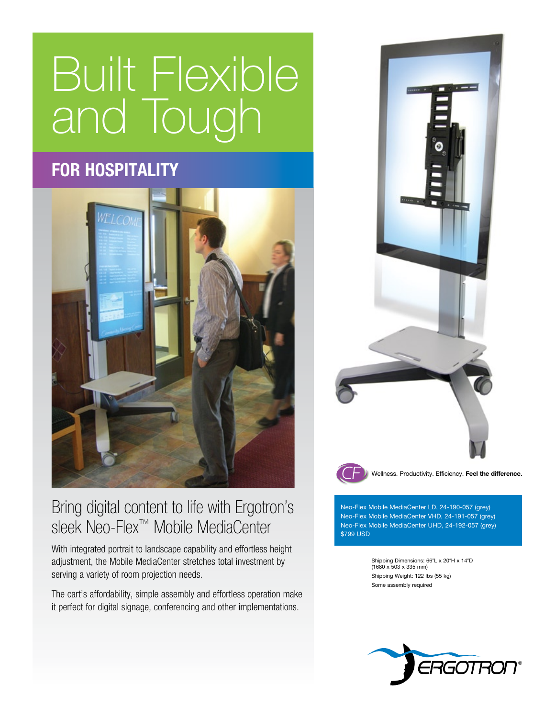# Built Flexible and Tough

## **for hospitality**



### Bring digital content to life with Ergotron's sleek Neo-Flex™ Mobile MediaCenter

With integrated portrait to landscape capability and effortless height adjustment, the Mobile MediaCenter stretches total investment by serving a variety of room projection needs.

The cart's affordability, simple assembly and effortless operation make it perfect for digital signage, conferencing and other implementations.



Neo-Flex Mobile MediaCenter LD, 24-190-057 (grey) Neo-Flex Mobile MediaCenter VHD, 24-191-057 (grey) Neo-Flex Mobile MediaCenter UHD, 24-192-057 (grey) \$799 USD

> Shipping Dimensions: 66″L x 20″H x 14″D<br>(1680 x 503 x 335 mm) Shipping Weight: 122 lbs (55 kg) Some assembly required